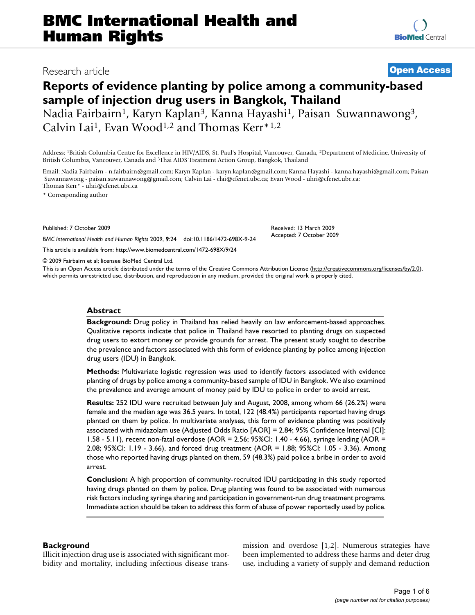## Research article **[Open Access](http://www.biomedcentral.com/info/about/charter/)**

# **Reports of evidence planting by police among a community-based sample of injection drug users in Bangkok, Thailand**

Nadia Fairbairn<sup>1</sup>, Karyn Kaplan<sup>3</sup>, Kanna Hayashi<sup>1</sup>, Paisan Suwannawong<sup>3</sup>, Calvin Lai<sup>1</sup>, Evan Wood<sup>1,2</sup> and Thomas Kerr<sup>\*1,2</sup>

Address: 1British Columbia Centre for Excellence in HIV/AIDS, St. Paul's Hospital, Vancouver, Canada, 2Department of Medicine, University of British Columbia, Vancouver, Canada and 3Thai AIDS Treatment Action Group, Bangkok, Thailand

Email: Nadia Fairbairn - n.fairbairn@gmail.com; Karyn Kaplan - karyn.kaplan@gmail.com; Kanna Hayashi - kanna.hayashi@gmail.com; Paisan Suwannawong - paisan.suwannawong@gmail.com; Calvin Lai - clai@cfenet.ubc.ca; Evan Wood - uhri@cfenet.ubc.ca; Thomas Kerr\* - uhri@cfenet.ubc.ca

> Received: 13 March 2009 Accepted: 7 October 2009

\* Corresponding author

Published: 7 October 2009

*BMC International Health and Human Rights* 2009, **9**:24 doi:10.1186/1472-698X-9-24

[This article is available from: http://www.biomedcentral.com/1472-698X/9/24](http://www.biomedcentral.com/1472-698X/9/24)

© 2009 Fairbairn et al; licensee BioMed Central Ltd.

This is an Open Access article distributed under the terms of the Creative Commons Attribution License [\(http://creativecommons.org/licenses/by/2.0\)](http://creativecommons.org/licenses/by/2.0), which permits unrestricted use, distribution, and reproduction in any medium, provided the original work is properly cited.

#### **Abstract**

**Background:** Drug policy in Thailand has relied heavily on law enforcement-based approaches. Qualitative reports indicate that police in Thailand have resorted to planting drugs on suspected drug users to extort money or provide grounds for arrest. The present study sought to describe the prevalence and factors associated with this form of evidence planting by police among injection drug users (IDU) in Bangkok.

**Methods:** Multivariate logistic regression was used to identify factors associated with evidence planting of drugs by police among a community-based sample of IDU in Bangkok. We also examined the prevalence and average amount of money paid by IDU to police in order to avoid arrest.

**Results:** 252 IDU were recruited between July and August, 2008, among whom 66 (26.2%) were female and the median age was 36.5 years. In total, 122 (48.4%) participants reported having drugs planted on them by police. In multivariate analyses, this form of evidence planting was positively associated with midazolam use (Adjusted Odds Ratio [AOR] = 2.84; 95% Confidence Interval [CI]: 1.58 - 5.11), recent non-fatal overdose (AOR = 2.56; 95%CI: 1.40 - 4.66), syringe lending (AOR = 2.08; 95%CI: 1.19 - 3.66), and forced drug treatment (AOR = 1.88; 95%CI: 1.05 - 3.36). Among those who reported having drugs planted on them, 59 (48.3%) paid police a bribe in order to avoid arrest.

**Conclusion:** A high proportion of community-recruited IDU participating in this study reported having drugs planted on them by police. Drug planting was found to be associated with numerous risk factors including syringe sharing and participation in government-run drug treatment programs. Immediate action should be taken to address this form of abuse of power reportedly used by police.

### **Background**

Illicit injection drug use is associated with significant morbidity and mortality, including infectious disease transmission and overdose [1,2]. Numerous strategies have been implemented to address these harms and deter drug use, including a variety of supply and demand reduction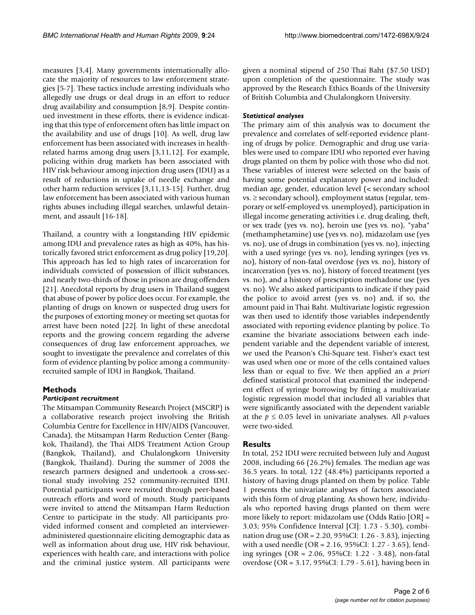measures [3,4]. Many governments internationally allocate the majority of resources to law enforcement strategies [5-7]. These tactics include arresting individuals who allegedly use drugs or deal drugs in an effort to reduce drug availability and consumption [8,9]. Despite continued investment in these efforts, there is evidence indicating that this type of enforcement often has little impact on the availability and use of drugs [10]. As well, drug law enforcement has been associated with increases in healthrelated harms among drug users [3,11,12]. For example, policing within drug markets has been associated with HIV risk behaviour among injection drug users (IDU) as a result of reductions in uptake of needle exchange and other harm reduction services [3,11,13-15]. Further, drug law enforcement has been associated with various human rights abuses including illegal searches, unlawful detainment, and assault [16-18].

Thailand, a country with a longstanding HIV epidemic among IDU and prevalence rates as high as 40%, has historically favored strict enforcement as drug policy [19,20]. This approach has led to high rates of incarceration for individuals convicted of possession of illicit substances, and nearly two-thirds of those in prison are drug offenders [21]. Anecdotal reports by drug users in Thailand suggest that abuse of power by police does occur. For example, the planting of drugs on known or suspected drug users for the purposes of extorting money or meeting set quotas for arrest have been noted [22]. In light of these anecdotal reports and the growing concern regarding the adverse consequences of drug law enforcement approaches, we sought to investigate the prevalence and correlates of this form of evidence planting by police among a communityrecruited sample of IDU in Bangkok, Thailand.

### **Methods**

### *Participant recruitment*

The Mitsampan Community Research Project (MSCRP) is a collaborative research project involving the British Columbia Centre for Excellence in HIV/AIDS (Vancouver, Canada), the Mitsampan Harm Reduction Center (Bangkok, Thailand), the Thai AIDS Treatment Action Group (Bangkok, Thailand), and Chulalongkorn University (Bangkok, Thailand). During the summer of 2008 the research partners designed and undertook a cross-sectional study involving 252 community-recruited IDU. Potential participants were recruited through peer-based outreach efforts and word of mouth. Study participants were invited to attend the Mitsampan Harm Reduction Centre to participate in the study. All participants provided informed consent and completed an intervieweradministered questionnaire eliciting demographic data as well as information about drug use, HIV risk behaviour, experiences with health care, and interactions with police and the criminal justice system. All participants were

given a nominal stipend of 250 Thai Baht (\$7.50 USD) upon completion of the questionnaire. The study was approved by the Research Ethics Boards of the University of British Columbia and Chulalongkorn University.

#### *Statistical analyses*

The primary aim of this analysis was to document the prevalence and correlates of self-reported evidence planting of drugs by police. Demographic and drug use variables were used to compare IDU who reported ever having drugs planted on them by police with those who did not. These variables of interest were selected on the basis of having some potential explanatory power and included: median age, gender, education level (< secondary school  $vs. \ge$  secondary school), employment status (regular, temporary or self-employed vs. unemployed), participation in illegal income generating activities i.e. drug dealing, theft, or sex trade (yes vs. no), heroin use (yes vs. no), "yaba" (methamphetamine) use (yes vs. no), midazolam use (yes vs. no), use of drugs in combination (yes vs. no), injecting with a used syringe (yes vs. no), lending syringes (yes vs. no), history of non-fatal overdose (yes vs. no), history of incarceration (yes vs. no), history of forced treatment (yes vs. no), and a history of prescription methadone use (yes vs. no). We also asked participants to indicate if they paid the police to avoid arrest (yes vs. no) and, if so, the amount paid in Thai Baht. Multivariate logistic regression was then used to identify those variables independently associated with reporting evidence planting by police. To examine the bivariate associations between each independent variable and the dependent variable of interest, we used the Pearson's Chi-Square test. Fisher's exact test was used when one or more of the cells contained values less than or equal to five. We then applied an *a priori* defined statistical protocol that examined the independent effect of syringe borrowing by fitting a multivariate logistic regression model that included all variables that were significantly associated with the dependent variable at the  $p \leq 0.05$  level in univariate analyses. All *p*-values were two-sided.

### **Results**

In total, 252 IDU were recruited between July and August 2008, including 66 (26.2%) females. The median age was 36.5 years. In total, 122 (48.4%) participants reported a history of having drugs planted on them by police. Table 1 presents the univariate analyses of factors associated with this form of drug planting. As shown here, individuals who reported having drugs planted on them were more likely to report: midazolam use (Odds Ratio [OR] = 3.03; 95% Confidence Interval [CI]: 1.73 - 5.30), combination drug use (OR = 2.20, 95%CI: 1.26 - 3.83), injecting with a used needle (OR = 2.16, 95%CI: 1.27 - 3.65), lending syringes (OR = 2.06, 95%CI: 1.22 - 3.48), non-fatal overdose (OR = 3.17, 95%CI: 1.79 - 5.61), having been in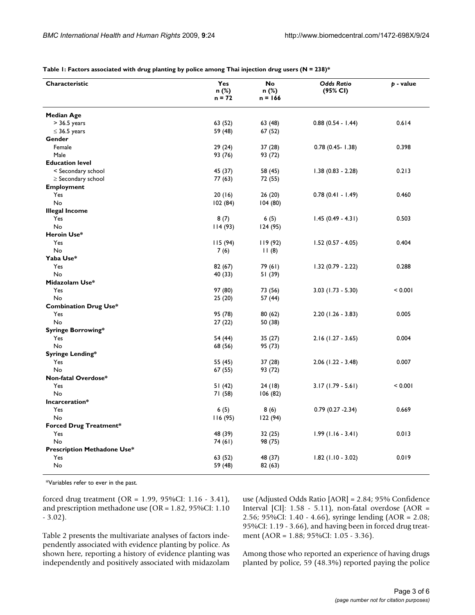| Table 1: Factors associated with drug planting by police among Thai injection drug users (N = 238)* |  |  |
|-----------------------------------------------------------------------------------------------------|--|--|
|-----------------------------------------------------------------------------------------------------|--|--|

| n (%)<br>n (%)<br>(95% CI)<br>$n = 72$<br>$n = 166$<br><b>Median Age</b><br>$>$ 36.5 years<br>63 (52)<br>63 (48)<br>$0.88$ (0.54 - 1.44)<br>0.614<br>59 (48)<br>$\leq$ 36.5 years<br>67 (52)<br>Gender<br>Female<br>29 (24)<br>37(28)<br>$0.78(0.45 - 1.38)$<br>0.398<br>Male<br>93 (76)<br>93 (72)<br><b>Education level</b><br>< Secondary school<br>45 (37)<br>58 (45)<br>$1.38(0.83 - 2.28)$<br>0.213<br>$\ge$ Secondary school<br>77 (63)<br>72 (55)<br><b>Employment</b><br>Yes<br>20(16)<br>26(20)<br>$0.78(0.41 - 1.49)$<br>0.460<br>No<br>102(84)<br>104(80)<br><b>Illegal Income</b><br>Yes<br>8(7)<br>6(5)<br>$1.45(0.49 - 4.31)$<br>0.503<br>No<br>114(93)<br>124 (95)<br>Heroin Use*<br>Yes<br>115(94)<br>119 (92)<br>0.404<br>$1.52(0.57 - 4.05)$<br>No<br>7(6)<br>11(8)<br>Yaba Use*<br>Yes<br>82(67)<br>79 (61)<br>$1.32(0.79 - 2.22)$<br>0.288<br>No<br>40 (33)<br>51 (39)<br>Midazolam Use*<br>Yes<br>97 (80)<br>73 (56)<br>< 0.001<br>$3.03$ (1.73 - 5.30)<br>No<br>25(20)<br>57 (44)<br><b>Combination Drug Use*</b><br>Yes<br>95 (78)<br>80(62)<br>$2.20$ (1.26 - 3.83)<br>0.005<br>No<br>27(22)<br>50 (38)<br><b>Syringe Borrowing*</b><br>Yes<br>54 (44)<br>35(27)<br>0.004<br>$2.16(1.27 - 3.65)$<br>No<br>68 (56)<br>95 (73)<br><b>Syringe Lending*</b><br>$\mathsf{Yes}$<br>0.007<br>55 (45)<br>37 (28)<br>$2.06$ (1.22 - 3.48)<br>No<br>67 (55)<br>93 (72)<br>Non-fatal Overdose*<br>Yes<br>$3.17(1.79 - 5.61)$<br>< 0.001<br>51(42)<br>24 (18)<br>No<br>71 (58)<br>106(82)<br>Incarceration*<br>Yes<br>6(5)<br>8(6)<br>$0.79(0.27 - 2.34)$<br>0.669<br>No<br>116(95)<br>122 (94)<br><b>Forced Drug Treatment*</b><br>Yes<br>48 (39)<br>32(25)<br>$1.99(1.16 - 3.41)$<br>0.013<br>No<br>74 (61)<br>98 (75)<br><b>Prescription Methadone Use*</b><br>Yes<br>$1.82$ (1.10 - 3.02)<br>0.019<br>63 (52)<br>48 (37)<br>No<br>59 (48)<br>82 (63) | Characteristic | Yes | <b>No</b> | <b>Odds Ratio</b> | $p$ - value |
|-----------------------------------------------------------------------------------------------------------------------------------------------------------------------------------------------------------------------------------------------------------------------------------------------------------------------------------------------------------------------------------------------------------------------------------------------------------------------------------------------------------------------------------------------------------------------------------------------------------------------------------------------------------------------------------------------------------------------------------------------------------------------------------------------------------------------------------------------------------------------------------------------------------------------------------------------------------------------------------------------------------------------------------------------------------------------------------------------------------------------------------------------------------------------------------------------------------------------------------------------------------------------------------------------------------------------------------------------------------------------------------------------------------------------------------------------------------------------------------------------------------------------------------------------------------------------------------------------------------------------------------------------------------------------------------------------------------------------------------------------------------------------------------------------------------------------------------------------------------------------|----------------|-----|-----------|-------------------|-------------|
|                                                                                                                                                                                                                                                                                                                                                                                                                                                                                                                                                                                                                                                                                                                                                                                                                                                                                                                                                                                                                                                                                                                                                                                                                                                                                                                                                                                                                                                                                                                                                                                                                                                                                                                                                                                                                                                                       |                |     |           |                   |             |
|                                                                                                                                                                                                                                                                                                                                                                                                                                                                                                                                                                                                                                                                                                                                                                                                                                                                                                                                                                                                                                                                                                                                                                                                                                                                                                                                                                                                                                                                                                                                                                                                                                                                                                                                                                                                                                                                       |                |     |           |                   |             |
|                                                                                                                                                                                                                                                                                                                                                                                                                                                                                                                                                                                                                                                                                                                                                                                                                                                                                                                                                                                                                                                                                                                                                                                                                                                                                                                                                                                                                                                                                                                                                                                                                                                                                                                                                                                                                                                                       |                |     |           |                   |             |
|                                                                                                                                                                                                                                                                                                                                                                                                                                                                                                                                                                                                                                                                                                                                                                                                                                                                                                                                                                                                                                                                                                                                                                                                                                                                                                                                                                                                                                                                                                                                                                                                                                                                                                                                                                                                                                                                       |                |     |           |                   |             |
|                                                                                                                                                                                                                                                                                                                                                                                                                                                                                                                                                                                                                                                                                                                                                                                                                                                                                                                                                                                                                                                                                                                                                                                                                                                                                                                                                                                                                                                                                                                                                                                                                                                                                                                                                                                                                                                                       |                |     |           |                   |             |
|                                                                                                                                                                                                                                                                                                                                                                                                                                                                                                                                                                                                                                                                                                                                                                                                                                                                                                                                                                                                                                                                                                                                                                                                                                                                                                                                                                                                                                                                                                                                                                                                                                                                                                                                                                                                                                                                       |                |     |           |                   |             |
|                                                                                                                                                                                                                                                                                                                                                                                                                                                                                                                                                                                                                                                                                                                                                                                                                                                                                                                                                                                                                                                                                                                                                                                                                                                                                                                                                                                                                                                                                                                                                                                                                                                                                                                                                                                                                                                                       |                |     |           |                   |             |
|                                                                                                                                                                                                                                                                                                                                                                                                                                                                                                                                                                                                                                                                                                                                                                                                                                                                                                                                                                                                                                                                                                                                                                                                                                                                                                                                                                                                                                                                                                                                                                                                                                                                                                                                                                                                                                                                       |                |     |           |                   |             |
|                                                                                                                                                                                                                                                                                                                                                                                                                                                                                                                                                                                                                                                                                                                                                                                                                                                                                                                                                                                                                                                                                                                                                                                                                                                                                                                                                                                                                                                                                                                                                                                                                                                                                                                                                                                                                                                                       |                |     |           |                   |             |
|                                                                                                                                                                                                                                                                                                                                                                                                                                                                                                                                                                                                                                                                                                                                                                                                                                                                                                                                                                                                                                                                                                                                                                                                                                                                                                                                                                                                                                                                                                                                                                                                                                                                                                                                                                                                                                                                       |                |     |           |                   |             |
|                                                                                                                                                                                                                                                                                                                                                                                                                                                                                                                                                                                                                                                                                                                                                                                                                                                                                                                                                                                                                                                                                                                                                                                                                                                                                                                                                                                                                                                                                                                                                                                                                                                                                                                                                                                                                                                                       |                |     |           |                   |             |
|                                                                                                                                                                                                                                                                                                                                                                                                                                                                                                                                                                                                                                                                                                                                                                                                                                                                                                                                                                                                                                                                                                                                                                                                                                                                                                                                                                                                                                                                                                                                                                                                                                                                                                                                                                                                                                                                       |                |     |           |                   |             |
|                                                                                                                                                                                                                                                                                                                                                                                                                                                                                                                                                                                                                                                                                                                                                                                                                                                                                                                                                                                                                                                                                                                                                                                                                                                                                                                                                                                                                                                                                                                                                                                                                                                                                                                                                                                                                                                                       |                |     |           |                   |             |
|                                                                                                                                                                                                                                                                                                                                                                                                                                                                                                                                                                                                                                                                                                                                                                                                                                                                                                                                                                                                                                                                                                                                                                                                                                                                                                                                                                                                                                                                                                                                                                                                                                                                                                                                                                                                                                                                       |                |     |           |                   |             |
|                                                                                                                                                                                                                                                                                                                                                                                                                                                                                                                                                                                                                                                                                                                                                                                                                                                                                                                                                                                                                                                                                                                                                                                                                                                                                                                                                                                                                                                                                                                                                                                                                                                                                                                                                                                                                                                                       |                |     |           |                   |             |
|                                                                                                                                                                                                                                                                                                                                                                                                                                                                                                                                                                                                                                                                                                                                                                                                                                                                                                                                                                                                                                                                                                                                                                                                                                                                                                                                                                                                                                                                                                                                                                                                                                                                                                                                                                                                                                                                       |                |     |           |                   |             |
|                                                                                                                                                                                                                                                                                                                                                                                                                                                                                                                                                                                                                                                                                                                                                                                                                                                                                                                                                                                                                                                                                                                                                                                                                                                                                                                                                                                                                                                                                                                                                                                                                                                                                                                                                                                                                                                                       |                |     |           |                   |             |
|                                                                                                                                                                                                                                                                                                                                                                                                                                                                                                                                                                                                                                                                                                                                                                                                                                                                                                                                                                                                                                                                                                                                                                                                                                                                                                                                                                                                                                                                                                                                                                                                                                                                                                                                                                                                                                                                       |                |     |           |                   |             |
|                                                                                                                                                                                                                                                                                                                                                                                                                                                                                                                                                                                                                                                                                                                                                                                                                                                                                                                                                                                                                                                                                                                                                                                                                                                                                                                                                                                                                                                                                                                                                                                                                                                                                                                                                                                                                                                                       |                |     |           |                   |             |
|                                                                                                                                                                                                                                                                                                                                                                                                                                                                                                                                                                                                                                                                                                                                                                                                                                                                                                                                                                                                                                                                                                                                                                                                                                                                                                                                                                                                                                                                                                                                                                                                                                                                                                                                                                                                                                                                       |                |     |           |                   |             |
|                                                                                                                                                                                                                                                                                                                                                                                                                                                                                                                                                                                                                                                                                                                                                                                                                                                                                                                                                                                                                                                                                                                                                                                                                                                                                                                                                                                                                                                                                                                                                                                                                                                                                                                                                                                                                                                                       |                |     |           |                   |             |
|                                                                                                                                                                                                                                                                                                                                                                                                                                                                                                                                                                                                                                                                                                                                                                                                                                                                                                                                                                                                                                                                                                                                                                                                                                                                                                                                                                                                                                                                                                                                                                                                                                                                                                                                                                                                                                                                       |                |     |           |                   |             |
|                                                                                                                                                                                                                                                                                                                                                                                                                                                                                                                                                                                                                                                                                                                                                                                                                                                                                                                                                                                                                                                                                                                                                                                                                                                                                                                                                                                                                                                                                                                                                                                                                                                                                                                                                                                                                                                                       |                |     |           |                   |             |
|                                                                                                                                                                                                                                                                                                                                                                                                                                                                                                                                                                                                                                                                                                                                                                                                                                                                                                                                                                                                                                                                                                                                                                                                                                                                                                                                                                                                                                                                                                                                                                                                                                                                                                                                                                                                                                                                       |                |     |           |                   |             |
|                                                                                                                                                                                                                                                                                                                                                                                                                                                                                                                                                                                                                                                                                                                                                                                                                                                                                                                                                                                                                                                                                                                                                                                                                                                                                                                                                                                                                                                                                                                                                                                                                                                                                                                                                                                                                                                                       |                |     |           |                   |             |
|                                                                                                                                                                                                                                                                                                                                                                                                                                                                                                                                                                                                                                                                                                                                                                                                                                                                                                                                                                                                                                                                                                                                                                                                                                                                                                                                                                                                                                                                                                                                                                                                                                                                                                                                                                                                                                                                       |                |     |           |                   |             |
|                                                                                                                                                                                                                                                                                                                                                                                                                                                                                                                                                                                                                                                                                                                                                                                                                                                                                                                                                                                                                                                                                                                                                                                                                                                                                                                                                                                                                                                                                                                                                                                                                                                                                                                                                                                                                                                                       |                |     |           |                   |             |
|                                                                                                                                                                                                                                                                                                                                                                                                                                                                                                                                                                                                                                                                                                                                                                                                                                                                                                                                                                                                                                                                                                                                                                                                                                                                                                                                                                                                                                                                                                                                                                                                                                                                                                                                                                                                                                                                       |                |     |           |                   |             |
|                                                                                                                                                                                                                                                                                                                                                                                                                                                                                                                                                                                                                                                                                                                                                                                                                                                                                                                                                                                                                                                                                                                                                                                                                                                                                                                                                                                                                                                                                                                                                                                                                                                                                                                                                                                                                                                                       |                |     |           |                   |             |
|                                                                                                                                                                                                                                                                                                                                                                                                                                                                                                                                                                                                                                                                                                                                                                                                                                                                                                                                                                                                                                                                                                                                                                                                                                                                                                                                                                                                                                                                                                                                                                                                                                                                                                                                                                                                                                                                       |                |     |           |                   |             |
|                                                                                                                                                                                                                                                                                                                                                                                                                                                                                                                                                                                                                                                                                                                                                                                                                                                                                                                                                                                                                                                                                                                                                                                                                                                                                                                                                                                                                                                                                                                                                                                                                                                                                                                                                                                                                                                                       |                |     |           |                   |             |
|                                                                                                                                                                                                                                                                                                                                                                                                                                                                                                                                                                                                                                                                                                                                                                                                                                                                                                                                                                                                                                                                                                                                                                                                                                                                                                                                                                                                                                                                                                                                                                                                                                                                                                                                                                                                                                                                       |                |     |           |                   |             |
|                                                                                                                                                                                                                                                                                                                                                                                                                                                                                                                                                                                                                                                                                                                                                                                                                                                                                                                                                                                                                                                                                                                                                                                                                                                                                                                                                                                                                                                                                                                                                                                                                                                                                                                                                                                                                                                                       |                |     |           |                   |             |
|                                                                                                                                                                                                                                                                                                                                                                                                                                                                                                                                                                                                                                                                                                                                                                                                                                                                                                                                                                                                                                                                                                                                                                                                                                                                                                                                                                                                                                                                                                                                                                                                                                                                                                                                                                                                                                                                       |                |     |           |                   |             |
|                                                                                                                                                                                                                                                                                                                                                                                                                                                                                                                                                                                                                                                                                                                                                                                                                                                                                                                                                                                                                                                                                                                                                                                                                                                                                                                                                                                                                                                                                                                                                                                                                                                                                                                                                                                                                                                                       |                |     |           |                   |             |
|                                                                                                                                                                                                                                                                                                                                                                                                                                                                                                                                                                                                                                                                                                                                                                                                                                                                                                                                                                                                                                                                                                                                                                                                                                                                                                                                                                                                                                                                                                                                                                                                                                                                                                                                                                                                                                                                       |                |     |           |                   |             |
|                                                                                                                                                                                                                                                                                                                                                                                                                                                                                                                                                                                                                                                                                                                                                                                                                                                                                                                                                                                                                                                                                                                                                                                                                                                                                                                                                                                                                                                                                                                                                                                                                                                                                                                                                                                                                                                                       |                |     |           |                   |             |
|                                                                                                                                                                                                                                                                                                                                                                                                                                                                                                                                                                                                                                                                                                                                                                                                                                                                                                                                                                                                                                                                                                                                                                                                                                                                                                                                                                                                                                                                                                                                                                                                                                                                                                                                                                                                                                                                       |                |     |           |                   |             |
|                                                                                                                                                                                                                                                                                                                                                                                                                                                                                                                                                                                                                                                                                                                                                                                                                                                                                                                                                                                                                                                                                                                                                                                                                                                                                                                                                                                                                                                                                                                                                                                                                                                                                                                                                                                                                                                                       |                |     |           |                   |             |
|                                                                                                                                                                                                                                                                                                                                                                                                                                                                                                                                                                                                                                                                                                                                                                                                                                                                                                                                                                                                                                                                                                                                                                                                                                                                                                                                                                                                                                                                                                                                                                                                                                                                                                                                                                                                                                                                       |                |     |           |                   |             |
|                                                                                                                                                                                                                                                                                                                                                                                                                                                                                                                                                                                                                                                                                                                                                                                                                                                                                                                                                                                                                                                                                                                                                                                                                                                                                                                                                                                                                                                                                                                                                                                                                                                                                                                                                                                                                                                                       |                |     |           |                   |             |
|                                                                                                                                                                                                                                                                                                                                                                                                                                                                                                                                                                                                                                                                                                                                                                                                                                                                                                                                                                                                                                                                                                                                                                                                                                                                                                                                                                                                                                                                                                                                                                                                                                                                                                                                                                                                                                                                       |                |     |           |                   |             |
|                                                                                                                                                                                                                                                                                                                                                                                                                                                                                                                                                                                                                                                                                                                                                                                                                                                                                                                                                                                                                                                                                                                                                                                                                                                                                                                                                                                                                                                                                                                                                                                                                                                                                                                                                                                                                                                                       |                |     |           |                   |             |
|                                                                                                                                                                                                                                                                                                                                                                                                                                                                                                                                                                                                                                                                                                                                                                                                                                                                                                                                                                                                                                                                                                                                                                                                                                                                                                                                                                                                                                                                                                                                                                                                                                                                                                                                                                                                                                                                       |                |     |           |                   |             |
|                                                                                                                                                                                                                                                                                                                                                                                                                                                                                                                                                                                                                                                                                                                                                                                                                                                                                                                                                                                                                                                                                                                                                                                                                                                                                                                                                                                                                                                                                                                                                                                                                                                                                                                                                                                                                                                                       |                |     |           |                   |             |
|                                                                                                                                                                                                                                                                                                                                                                                                                                                                                                                                                                                                                                                                                                                                                                                                                                                                                                                                                                                                                                                                                                                                                                                                                                                                                                                                                                                                                                                                                                                                                                                                                                                                                                                                                                                                                                                                       |                |     |           |                   |             |
|                                                                                                                                                                                                                                                                                                                                                                                                                                                                                                                                                                                                                                                                                                                                                                                                                                                                                                                                                                                                                                                                                                                                                                                                                                                                                                                                                                                                                                                                                                                                                                                                                                                                                                                                                                                                                                                                       |                |     |           |                   |             |

\*Variables refer to ever in the past.

forced drug treatment (OR = 1.99, 95%CI: 1.16 - 3.41), and prescription methadone use (OR = 1.82, 95%CI: 1.10 - 3.02).

Table 2 presents the multivariate analyses of factors independently associated with evidence planting by police. As shown here, reporting a history of evidence planting was independently and positively associated with midazolam use (Adjusted Odds Ratio [AOR] = 2.84; 95% Confidence Interval [CI]: 1.58 - 5.11), non-fatal overdose (AOR = 2.56; 95%CI: 1.40 - 4.66), syringe lending (AOR = 2.08; 95%CI: 1.19 - 3.66), and having been in forced drug treatment (AOR = 1.88; 95%CI: 1.05 - 3.36).

Among those who reported an experience of having drugs planted by police, 59 (48.3%) reported paying the police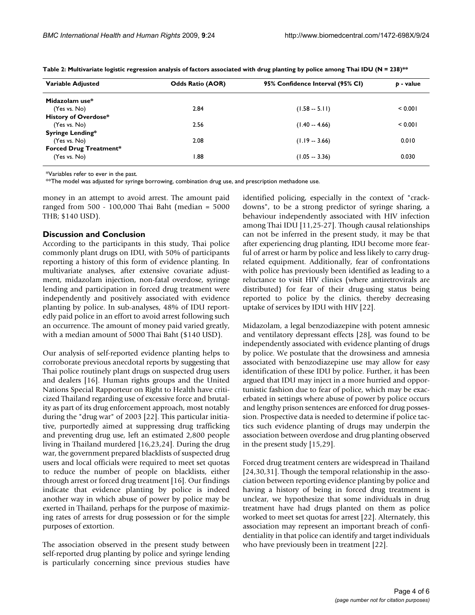| Variable Adjusted             | <b>Odds Ratio (AOR)</b> | 95% Confidence Interval (95% CI) | $\boldsymbol{p}$ - value |  |
|-------------------------------|-------------------------|----------------------------------|--------------------------|--|
| Midazolam use*                |                         |                                  |                          |  |
| (Yes vs. No)                  | 2.84                    | $(1.58 - 5.11)$                  | < 0.001                  |  |
| <b>History of Overdose*</b>   |                         |                                  |                          |  |
| (Yes vs. No)                  | 2.56                    | $(1.40 - 4.66)$                  | < 0.001                  |  |
| <b>Syringe Lending*</b>       |                         |                                  |                          |  |
| (Yes vs. No)                  | 2.08                    | $(1.19 - 3.66)$                  | 0.010                    |  |
| <b>Forced Drug Treatment*</b> |                         |                                  |                          |  |
| (Yes vs. No)                  | l.88                    | $(1.05 - 3.36)$                  | 0.030                    |  |

**Table 2: Multivariate logistic regression analysis of factors associated with drug planting by police among Thai IDU (N = 238)\*\***

\*Variables refer to ever in the past.

\*\*The model was adjusted for syringe borrowing, combination drug use, and prescription methadone use.

money in an attempt to avoid arrest. The amount paid ranged from 500 - 100,000 Thai Baht (median = 5000 THB; \$140 USD).

#### **Discussion and Conclusion**

According to the participants in this study, Thai police commonly plant drugs on IDU, with 50% of participants reporting a history of this form of evidence planting. In multivariate analyses, after extensive covariate adjustment, midazolam injection, non-fatal overdose, syringe lending and participation in forced drug treatment were independently and positively associated with evidence planting by police. In sub-analyses, 48% of IDU reportedly paid police in an effort to avoid arrest following such an occurrence. The amount of money paid varied greatly, with a median amount of 5000 Thai Baht (\$140 USD).

Our analysis of self-reported evidence planting helps to corroborate previous anecdotal reports by suggesting that Thai police routinely plant drugs on suspected drug users and dealers [16]. Human rights groups and the United Nations Special Rapporteur on Right to Health have criticized Thailand regarding use of excessive force and brutality as part of its drug enforcement approach, most notably during the "drug war" of 2003 [22]. This particular initiative, purportedly aimed at suppressing drug trafficking and preventing drug use, left an estimated 2,800 people living in Thailand murdered [16,23,24]. During the drug war, the government prepared blacklists of suspected drug users and local officials were required to meet set quotas to reduce the number of people on blacklists, either through arrest or forced drug treatment [16]. Our findings indicate that evidence planting by police is indeed another way in which abuse of power by police may be exerted in Thailand, perhaps for the purpose of maximizing rates of arrests for drug possession or for the simple purposes of extortion.

The association observed in the present study between self-reported drug planting by police and syringe lending is particularly concerning since previous studies have identified policing, especially in the context of "crackdowns", to be a strong predictor of syringe sharing, a behaviour independently associated with HIV infection among Thai IDU [11,25-27]. Though causal relationships can not be inferred in the present study, it may be that after experiencing drug planting, IDU become more fearful of arrest or harm by police and less likely to carry drugrelated equipment. Additionally, fear of confrontations with police has previously been identified as leading to a reluctance to visit HIV clinics (where antiretrovirals are distributed) for fear of their drug-using status being reported to police by the clinics, thereby decreasing uptake of services by IDU with HIV [22].

Midazolam, a legal benzodiazepine with potent amnesic and ventilatory depressant effects [28], was found to be independently associated with evidence planting of drugs by police. We postulate that the drowsiness and amnesia associated with benzodiazepine use may allow for easy identification of these IDU by police. Further, it has been argued that IDU may inject in a more hurried and opportunistic fashion due to fear of police, which may be exacerbated in settings where abuse of power by police occurs and lengthy prison sentences are enforced for drug possession. Prospective data is needed to determine if police tactics such evidence planting of drugs may underpin the association between overdose and drug planting observed in the present study [15,29].

Forced drug treatment centers are widespread in Thailand [24,30,31]. Though the temporal relationship in the association between reporting evidence planting by police and having a history of being in forced drug treatment is unclear, we hypothesize that some individuals in drug treatment have had drugs planted on them as police worked to meet set quotas for arrest [22]. Alternately, this association may represent an important breach of confidentiality in that police can identify and target individuals who have previously been in treatment [22].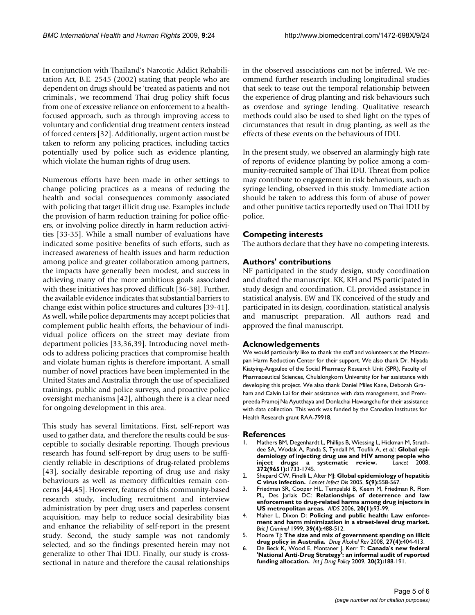In conjunction with Thailand's Narcotic Addict Rehabilitation Act, B.E. 2545 (2002) stating that people who are dependent on drugs should be 'treated as patients and not criminals', we recommend Thai drug policy shift focus from one of excessive reliance on enforcement to a healthfocused approach, such as through improving access to voluntary and confidential drug treatment centers instead of forced centers [32]. Additionally, urgent action must be taken to reform any policing practices, including tactics potentially used by police such as evidence planting, which violate the human rights of drug users.

Numerous efforts have been made in other settings to change policing practices as a means of reducing the health and social consequences commonly associated with policing that target illicit drug use. Examples include the provision of harm reduction training for police officers, or involving police directly in harm reduction activities [33-35]. While a small number of evaluations have indicated some positive benefits of such efforts, such as increased awareness of health issues and harm reduction among police and greater collaboration among partners, the impacts have generally been modest, and success in achieving many of the more ambitious goals associated with these initiatives has proved difficult [36-38]. Further, the available evidence indicates that substantial barriers to change exist within police structures and cultures [39-41]. As well, while police departments may accept policies that complement public health efforts, the behaviour of individual police officers on the street may deviate from department policies [33,36,39]. Introducing novel methods to address policing practices that compromise health and violate human rights is therefore important. A small number of novel practices have been implemented in the United States and Australia through the use of specialized trainings, public and police surveys, and proactive police oversight mechanisms [42], although there is a clear need for ongoing development in this area.

This study has several limitations. First, self-report was used to gather data, and therefore the results could be susceptible to socially desirable reporting. Though previous research has found self-report by drug users to be sufficiently reliable in descriptions of drug-related problems [43], socially desirable reporting of drug use and risky behaviours as well as memory difficulties remain concerns [44,45]. However, features of this community-based research study, including recruitment and interview administration by peer drug users and paperless consent acquisition, may help to reduce social desirability bias and enhance the reliability of self-report in the present study. Second, the study sample was not randomly selected, and so the findings presented herein may not generalize to other Thai IDU. Finally, our study is crosssectional in nature and therefore the causal relationships

in the observed associations can not be inferred. We recommend further research including longitudinal studies that seek to tease out the temporal relationship between the experience of drug planting and risk behaviours such as overdose and syringe lending. Qualitative research methods could also be used to shed light on the types of circumstances that result in drug planting, as well as the effects of these events on the behaviours of IDU.

In the present study, we observed an alarmingly high rate of reports of evidence planting by police among a community-recruited sample of Thai IDU. Threat from police may contribute to engagement in risk behaviours, such as syringe lending, observed in this study. Immediate action should be taken to address this form of abuse of power and other punitive tactics reportedly used on Thai IDU by police.

#### **Competing interests**

The authors declare that they have no competing interests.

#### **Authors' contributions**

NF participated in the study design, study coordination and drafted the manuscript. KK, KH and PS participated in study design and coordination. CL provided assistance in statistical analysis. EW and TK conceived of the study and participated in its design, coordination, statistical analysis and manuscript preparation. All authors read and approved the final manuscript.

#### **Acknowledgements**

We would particularly like to thank the staff and volunteers at the Mitsampan Harm Reduction Center for their support. We also thank Dr. Niyada Kiatying-Angsulee of the Social Pharmacy Research Unit (SPR), Faculty of Pharmaceutical Sciences, Chulalongkorn University for her assistance with developing this project. We also thank Daniel Miles Kane, Deborah Graham and Calvin Lai for their assistance with data management, and Prempreeda Pramoj Na Ayutthaya and Donlachai Hawangchu for their assistance with data collection. This work was funded by the Canadian Institutes for Health Research grant RAA-79918.

#### **References**

- 1. Mathers BM, Degenhardt L, Phillips B, Wiessing L, Hickman M, Strathdee SA, Wodak A, Panda S, Tyndall M, Toufik A, *et al.*: **[Global epi](http://www.ncbi.nlm.nih.gov/entrez/query.fcgi?cmd=Retrieve&db=PubMed&dopt=Abstract&list_uids=18817968)[demiology of injecting drug use and HIV among people who](http://www.ncbi.nlm.nih.gov/entrez/query.fcgi?cmd=Retrieve&db=PubMed&dopt=Abstract&list_uids=18817968) [inject drugs: a systematic review.](http://www.ncbi.nlm.nih.gov/entrez/query.fcgi?cmd=Retrieve&db=PubMed&dopt=Abstract&list_uids=18817968)** *Lancet* 2008, **372(9651):**1733-1745.
- 2. Shepard CW, Finelli L, Alter MJ: **[Global epidemiology of hepatitis](http://www.ncbi.nlm.nih.gov/entrez/query.fcgi?cmd=Retrieve&db=PubMed&dopt=Abstract&list_uids=16122679) [C virus infection.](http://www.ncbi.nlm.nih.gov/entrez/query.fcgi?cmd=Retrieve&db=PubMed&dopt=Abstract&list_uids=16122679)** *Lancet Infect Dis* 2005, **5(9):**558-567.
- 3. Friedman SR, Cooper HL, Tempalski B, Keem M, Friedman R, Flom PL, Des Jarlais DC: **[Relationships of deterrence and law](http://www.ncbi.nlm.nih.gov/entrez/query.fcgi?cmd=Retrieve&db=PubMed&dopt=Abstract&list_uids=16327324) [enforcement to drug-related harms among drug injectors in](http://www.ncbi.nlm.nih.gov/entrez/query.fcgi?cmd=Retrieve&db=PubMed&dopt=Abstract&list_uids=16327324) [US metropolitan areas.](http://www.ncbi.nlm.nih.gov/entrez/query.fcgi?cmd=Retrieve&db=PubMed&dopt=Abstract&list_uids=16327324)** *AIDS* 2006, **20(1):**93-99.
- 4. Maher L, Dixon D: **Policing and public health: Law enforcement and harm minimization in a street-level drug market.** *Brit J Criminol* 1999, **39(4):**488-512.
- 5. Moore TJ: **[The size and mix of government spending on illicit](http://www.ncbi.nlm.nih.gov/entrez/query.fcgi?cmd=Retrieve&db=PubMed&dopt=Abstract&list_uids=18584391) [drug policy in Australia.](http://www.ncbi.nlm.nih.gov/entrez/query.fcgi?cmd=Retrieve&db=PubMed&dopt=Abstract&list_uids=18584391)** *Drug Alcohol Rev* 2008, **27(4):**404-413.
- 6. De Beck K, Wood E, Montaner J, Kerr T: **[Canada's new federal](http://www.ncbi.nlm.nih.gov/entrez/query.fcgi?cmd=Retrieve&db=PubMed&dopt=Abstract&list_uids=18571396) ['National Anti-Drug Strategy': an informal audit of reported](http://www.ncbi.nlm.nih.gov/entrez/query.fcgi?cmd=Retrieve&db=PubMed&dopt=Abstract&list_uids=18571396) [funding allocation.](http://www.ncbi.nlm.nih.gov/entrez/query.fcgi?cmd=Retrieve&db=PubMed&dopt=Abstract&list_uids=18571396)** *Int J Drug Policy* 2009, **20(2):**188-191.